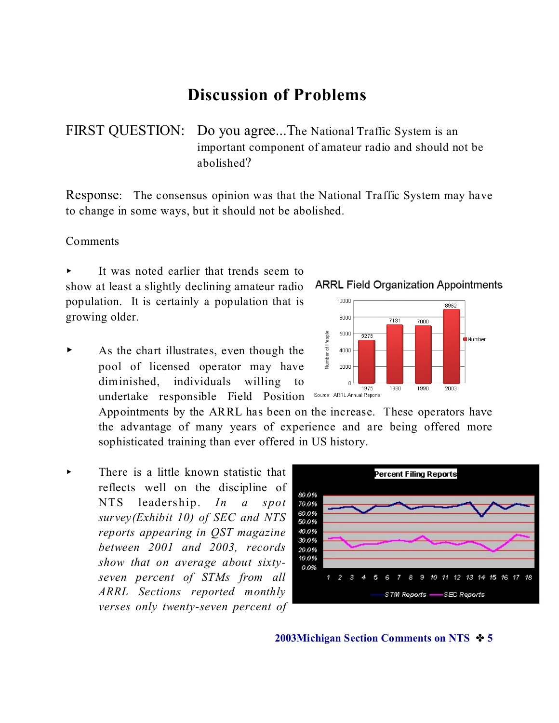# **Discussion of Problems**

FIRST QUESTION: Do you agree...The National Traffic System is an important component of amateur radio and should not be abolished?

Response: The consensus opinion was that the National Traffic System may have to change in some ways, but it should not be abolished.

#### Comments

It was noted earlier that trends seem to show at least a slightly declining amateur radio population. It is certainly a population that is growing older.

As the chart illustrates, even though the pool of licensed operator may have diminished, individuals willing to undertake responsible Field Position

> Appointments by the ARRL has been on the increase. These operators have the advantage of many years of experience and are being offered more sophisticated training than ever offered in US history.

 $\triangleright$  There is a little known statistic that reflects well on the discipline of NTS leadership. *In a spot survey(Exhibit 10) of SEC and NTS reports appearing in QST magazine between 2001 and 2003, records show that on average about sixtyseven percent of STMs from all ARRL Sections reported monthly verses only twenty-seven percent of*



**2003Michigan Section Comments on NTS**  $\div$  **5** 



#### **ARRL Field Organization Appointments**

7000

1990

7131

1980

8962

2003

**Number** 

10000

soon

6000

4000 2000  $\overline{0}$ 

Source: ARRL Annual Reports

5278

1975

**Number of People**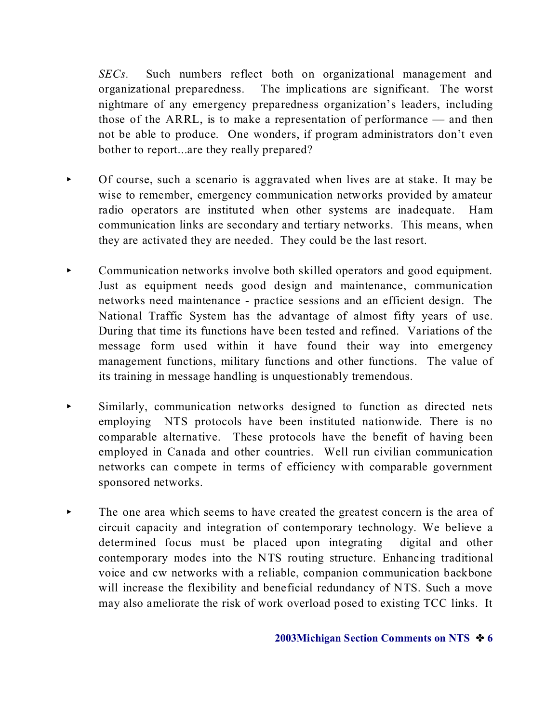*SECs.* Such numbers reflect both on organizational management and organizational preparedness. The implications are significant. The worst nightmare of any emergency preparedness organization's leaders, including those of the ARRL, is to make a representation of performance — and then not be able to produce. One wonders, if program administrators don't even bother to report...are they really prepared?

- < Of course, such a scenario is aggravated when lives are at stake. It may be wise to remember, emergency communication networks provided by amateur radio operators are instituted when other systems are inadequate. Ham communication links are secondary and tertiary networks. This means, when they are activated they are needed. They could be the last resort.
- Communication networks involve both skilled operators and good equipment. Just as equipment needs good design and maintenance, communication networks need maintenance - practice sessions and an efficient design. The National Traffic System has the advantage of almost fifty years of use. During that time its functions have been tested and refined. Variations of the message form used within it have found their way into emergency management functions, military functions and other functions. The value of its training in message handling is unquestionably tremendous.
- < Similarly, communication networks designed to function as directed nets employing NTS protocols have been instituted nationwide. There is no comparable alternative. These protocols have the benefit of having been employed in Canada and other countries. Well run civilian communication networks can compete in terms of efficiency with comparable government sponsored networks.
- The one area which seems to have created the greatest concern is the area of circuit capacity and integration of contemporary technology. We believe a determined focus must be placed upon integrating digital and other contemporary modes into the NTS routing structure. Enhancing traditional voice and cw networks with a reliable, companion communication backbone will increase the flexibility and beneficial redundancy of NTS. Such a move may also ameliorate the risk of work overload posed to existing TCC links. It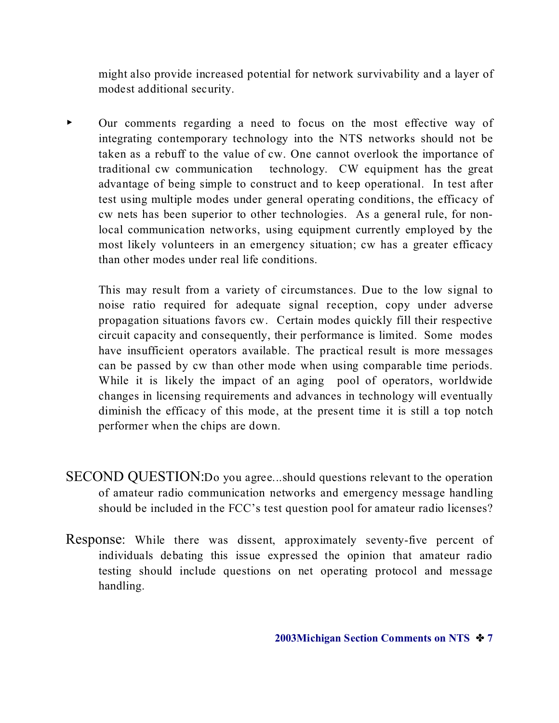might also provide increased potential for network survivability and a layer of modest additional security.

• Our comments regarding a need to focus on the most effective way of integrating contemporary technology into the NTS networks should not be taken as a rebuff to the value of cw. One cannot overlook the importance of traditional cw communication technology. CW equipment has the great advantage of being simple to construct and to keep operational. In test after test using multiple modes under general operating conditions, the efficacy of cw nets has been superior to other technologies. As a general rule, for nonlocal communication networks, using equipment currently employed by the most likely volunteers in an emergency situation; cw has a greater efficacy than other modes under real life conditions.

This may result from a variety of circumstances. Due to the low signal to noise ratio required for adequate signal reception, copy under adverse propagation situations favors cw. Certain modes quickly fill their respective circuit capacity and consequently, their performance is limited. Some modes have insufficient operators available. The practical result is more messages can be passed by cw than other mode when using comparable time periods. While it is likely the impact of an aging pool of operators, worldwide changes in licensing requirements and advances in technology will eventually diminish the efficacy of this mode, at the present time it is still a top notch performer when the chips are down.

- SECOND QUESTION:Do you agree...should questions relevant to the operation of amateur radio communication networks and emergency message handling should be included in the FCC's test question pool for amateur radio licenses?
- Response: While there was dissent, approximately seventy-five percent of individuals debating this issue expressed the opinion that amateur radio testing should include questions on net operating protocol and message handling.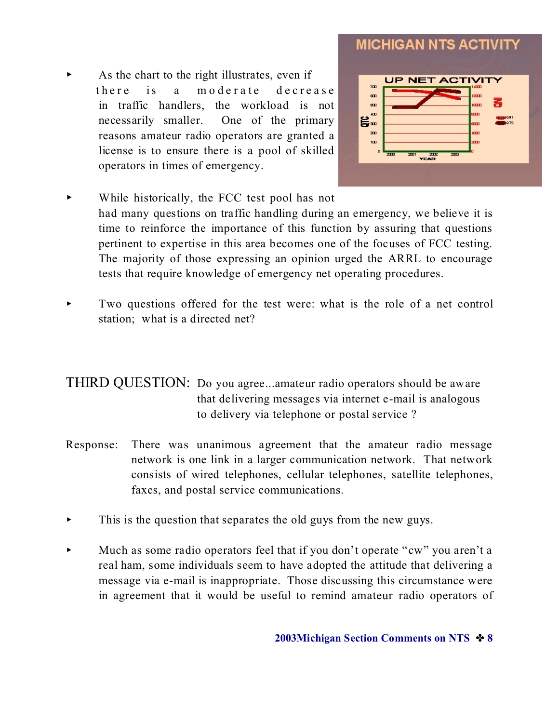### As the chart to the right illustrates, even if there is a moderate decrease in traffic handlers, the workload is not necessarily smaller. One of the primary reasons amateur radio operators are granted a license is to ensure there is a pool of skilled operators in times of emergency.



- While historically, the FCC test pool has not had many questions on traffic handling during an emergency, we believe it is time to reinforce the importance of this function by assuring that questions pertinent to expertise in this area becomes one of the focuses of FCC testing. The majority of those expressing an opinion urged the ARRL to encourage tests that require knowledge of emergency net operating procedures.
- < Two questions offered for the test were: what is the role of a net control station; what is a directed net?

### THIRD QUESTION: Do you agree...amateur radio operators should be aware that delivering messages via internet e-mail is analogous to delivery via telephone or postal service ?

- Response: There was unanimous agreement that the amateur radio message network is one link in a larger communication network. That network consists of wired telephones, cellular telephones, satellite telephones, faxes, and postal service communications.
- $\blacktriangleright$  This is the question that separates the old guys from the new guys.
- $\blacktriangleright$  Much as some radio operators feel that if you don't operate "cw" you aren't a real ham, some individuals seem to have adopted the attitude that delivering a message via e-mail is inappropriate. Those discussing this circumstance were in agreement that it would be useful to remind amateur radio operators of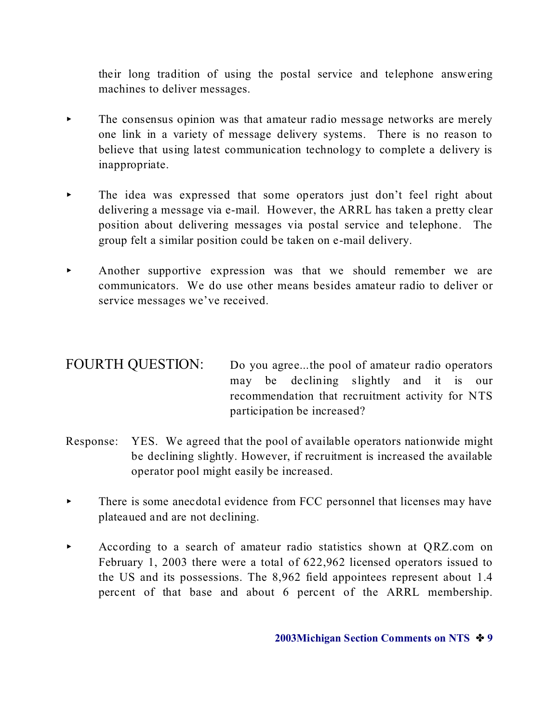their long tradition of using the postal service and telephone answering machines to deliver messages.

- The consensus opinion was that amateur radio message networks are merely one link in a variety of message delivery systems. There is no reason to believe that using latest communication technology to complete a delivery is inappropriate.
- The idea was expressed that some operators just don't feel right about delivering a message via e-mail. However, the ARRL has taken a pretty clear position about delivering messages via postal service and telephone. The group felt a similar position could be taken on e-mail delivery.
- < Another supportive expression was that we should remember we are communicators. We do use other means besides amateur radio to deliver or service messages we've received.

### FOURTH QUESTION: Do you agree...the pool of amateur radio operators may be declining slightly and it is our recommendation that recruitment activity for NTS participation be increased?

- Response: YES. We agreed that the pool of available operators nationwide might be declining slightly. However, if recruitment is increased the available operator pool might easily be increased.
- $\blacktriangleright$  There is some anecdotal evidence from FCC personnel that licenses may have plateaued and are not declining.
- According to a search of amateur radio statistics shown at QRZ.com on February 1, 2003 there were a total of 622,962 licensed operators issued to the US and its possessions. The 8,962 field appointees represent about 1.4 percent of that base and about 6 percent of the ARRL membership.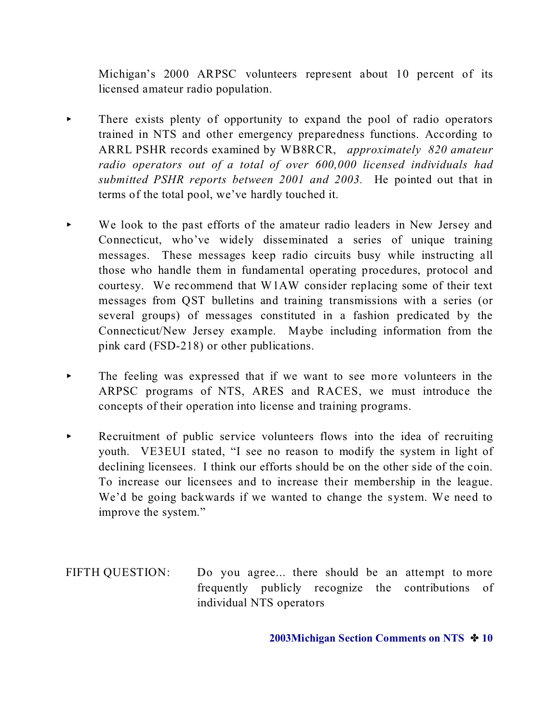Michigan's 2000 ARPSC volunteers represent about 10 percent of its licensed amateur radio population.

- There exists plenty of opportunity to expand the pool of radio operators trained in NTS and other emergency preparedness functions. According to ARRL PSHR records examined by WB8RCR, *approximately 820 amateur radio operators out of a total of over 600,000 licensed individuals had submitted PSHR reports between 2001 and 2003.* He pointed out that in terms of the total pool, we've hardly touched it.
- We look to the past efforts of the amateur radio leaders in New Jersey and Connecticut, who've widely disseminated a series of unique training messages. These messages keep radio circuits busy while instructing all those who handle them in fundamental operating procedures, protocol and courtesy. We recommend that W1AW consider replacing some of their text messages from QST bulletins and training transmissions with a series (or several groups) of messages constituted in a fashion predicated by the Connecticut/New Jersey example. Maybe including information from the pink card (FSD-218) or other publications.
- $\blacktriangleright$  The feeling was expressed that if we want to see more volunteers in the ARPSC programs of NTS, ARES and RACES, we must introduce the concepts of their operation into license and training programs.
- Recruitment of public service volunteers flows into the idea of recruiting youth. VE3EUI stated, "I see no reason to modify the system in light of declining licensees. I think our efforts should be on the other side of the coin. To increase our licensees and to increase their membership in the league. We'd be going backwards if we wanted to change the system. We need to improve the system."
- FIFTH QUESTION: Do you agree... there should be an attempt to more frequently publicly recognize the contributions of individual NTS operators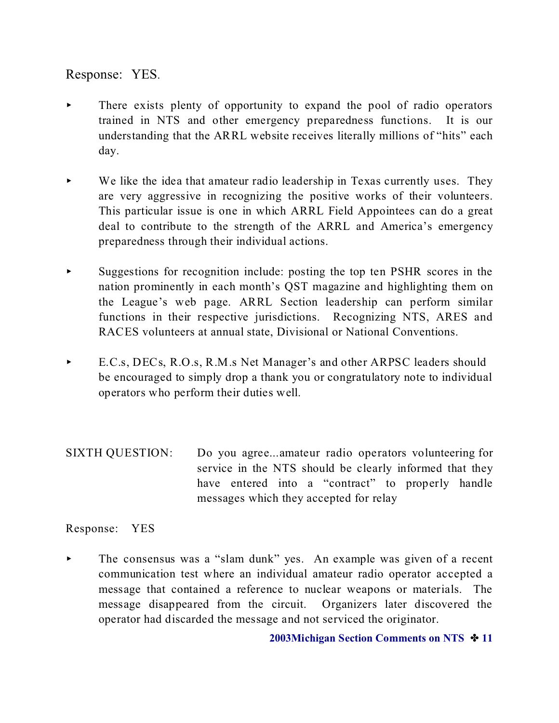Response: YES.

- There exists plenty of opportunity to expand the pool of radio operators trained in NTS and other emergency preparedness functions. It is our understanding that the ARRL website receives literally millions of "hits" each day.
- $\blacktriangleright$  We like the idea that amateur radio leadership in Texas currently uses. They are very aggressive in recognizing the positive works of their volunteers. This particular issue is one in which ARRL Field Appointees can do a great deal to contribute to the strength of the ARRL and America's emergency preparedness through their individual actions.
- $\triangleright$  Suggestions for recognition include: posting the top ten PSHR scores in the nation prominently in each month's QST magazine and highlighting them on the League's web page. ARRL Section leadership can perform similar functions in their respective jurisdictions. Recognizing NTS, ARES and RACES volunteers at annual state, Divisional or National Conventions.
- E.C.s, DECs, R.O.s, R.M.s Net Manager's and other ARPSC leaders should be encouraged to simply drop a thank you or congratulatory note to individual operators who perform their duties well.
- SIXTH QUESTION: Do you agree...amateur radio operators volunteering for service in the NTS should be clearly informed that they have entered into a "contract" to properly handle messages which they accepted for relay

#### Response: YES

< The consensus was a "slam dunk" yes. An example was given of a recent communication test where an individual amateur radio operator accepted a message that contained a reference to nuclear weapons or materials. The message disappeared from the circuit. Organizers later discovered the operator had discarded the message and not serviced the originator.

**2003Michigan Section Comments on NTS**  $\cdot \cdot$  **11**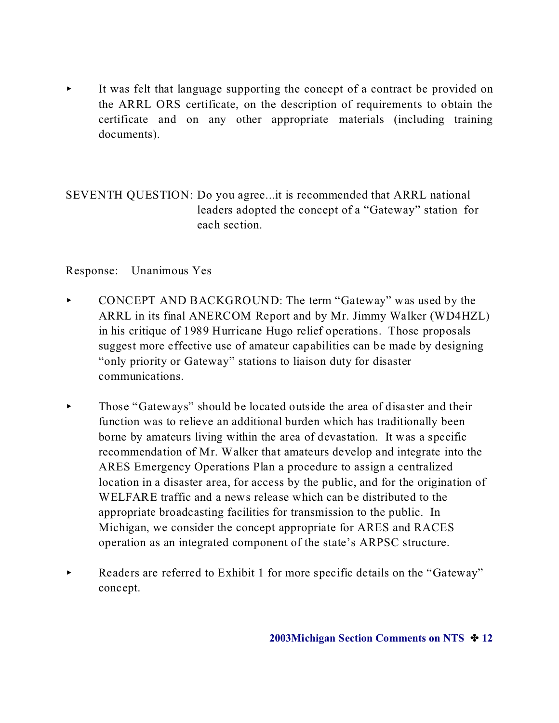It was felt that language supporting the concept of a contract be provided on the ARRL ORS certificate, on the description of requirements to obtain the certificate and on any other appropriate materials (including training documents).

SEVENTH QUESTION: Do you agree...it is recommended that ARRL national leaders adopted the concept of a "Gateway" station for each section.

#### Response: Unanimous Yes

- CONCEPT AND BACKGROUND: The term "Gateway" was used by the ARRL in its final ANERCOM Report and by Mr. Jimmy Walker (WD4HZL) in his critique of 1989 Hurricane Hugo relief operations. Those proposals suggest more effective use of amateur capabilities can be made by designing "only priority or Gateway" stations to liaison duty for disaster communications.
- $\blacktriangleright$  Those "Gateways" should be located outside the area of disaster and their function was to relieve an additional burden which has traditionally been borne by amateurs living within the area of devastation. It was a specific recommendation of Mr. Walker that amateurs develop and integrate into the ARES Emergency Operations Plan a procedure to assign a centralized location in a disaster area, for access by the public, and for the origination of WELFARE traffic and a news release which can be distributed to the appropriate broadcasting facilities for transmission to the public. In Michigan, we consider the concept appropriate for ARES and RACES operation as an integrated component of the state's ARPSC structure.
- Readers are referred to Exhibit 1 for more specific details on the "Gateway" concept.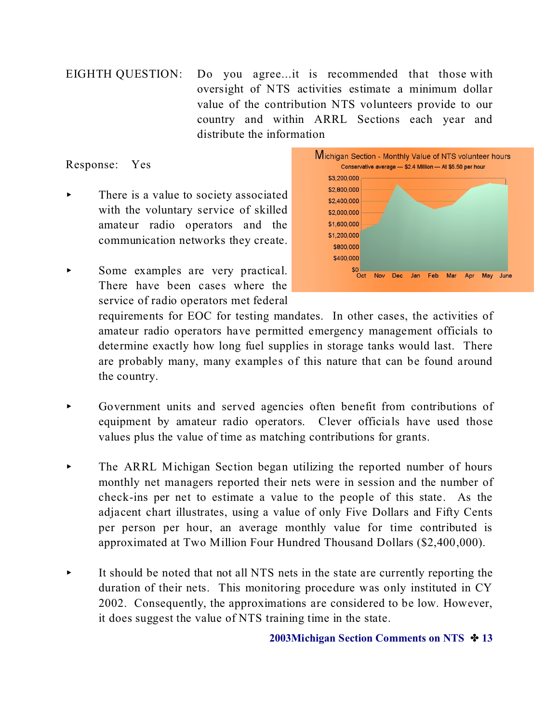EIGHTH QUESTION: Do you agree...it is recommended that those with oversight of NTS activities estimate a minimum dollar value of the contribution NTS volunteers provide to our country and within ARRL Sections each year and distribute the information

Response: Yes

- There is a value to society associated with the voluntary service of skilled amateur radio operators and the communication networks they create.
- Some examples are very practical. There have been cases where the service of radio operators met federal



requirements for EOC for testing mandates. In other cases, the activities of amateur radio operators have permitted emergency management officials to determine exactly how long fuel supplies in storage tanks would last. There are probably many, many examples of this nature that can be found around the country.

- < Government units and served agencies often benefit from contributions of equipment by amateur radio operators. Clever officials have used those values plus the value of time as matching contributions for grants.
- The ARRL Michigan Section began utilizing the reported number of hours monthly net managers reported their nets were in session and the number of check-ins per net to estimate a value to the people of this state. As the adjacent chart illustrates, using a value of only Five Dollars and Fifty Cents per person per hour, an average monthly value for time contributed is approximated at Two Million Four Hundred Thousand Dollars (\$2,400,000).
- It should be noted that not all NTS nets in the state are currently reporting the duration of their nets. This monitoring procedure was only instituted in CY 2002. Consequently, the approximations are considered to be low. However, it does suggest the value of NTS training time in the state.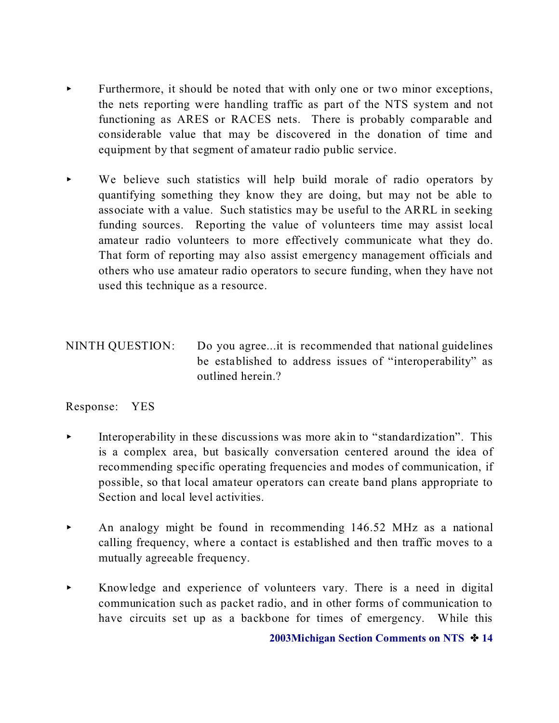- Furthermore, it should be noted that with only one or two minor exceptions, the nets reporting were handling traffic as part of the NTS system and not functioning as ARES or RACES nets. There is probably comparable and considerable value that may be discovered in the donation of time and equipment by that segment of amateur radio public service.
- $\triangleright$  We believe such statistics will help build morale of radio operators by quantifying something they know they are doing, but may not be able to associate with a value. Such statistics may be useful to the ARRL in seeking funding sources. Reporting the value of volunteers time may assist local amateur radio volunteers to more effectively communicate what they do. That form of reporting may also assist emergency management officials and others who use amateur radio operators to secure funding, when they have not used this technique as a resource.

## NINTH QUESTION: Do you agree...it is recommended that national guidelines be established to address issues of "interoperability" as outlined herein.?

#### Response: YES

- < Interoperability in these discussions was more akin to "standardization". This is a complex area, but basically conversation centered around the idea of recommending specific operating frequencies and modes of communication, if possible, so that local amateur operators can create band plans appropriate to Section and local level activities.
- $\blacktriangleright$  An analogy might be found in recommending 146.52 MHz as a national calling frequency, where a contact is established and then traffic moves to a mutually agreeable frequency.
- $\blacktriangleright$  Knowledge and experience of volunteers vary. There is a need in digital communication such as packet radio, and in other forms of communication to have circuits set up as a backbone for times of emergency. While this